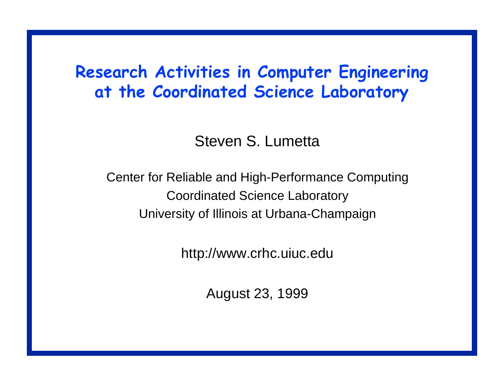### Research Activities in Computer Engineering at the Coordinated Science Laboratory

Steven S. Lumetta

Center for Reliable and High-Performance Computing Coordinated Science Laboratory University of Illinois at Urbana-Champaign

http://www.crhc.uiuc.edu

August 23, 1999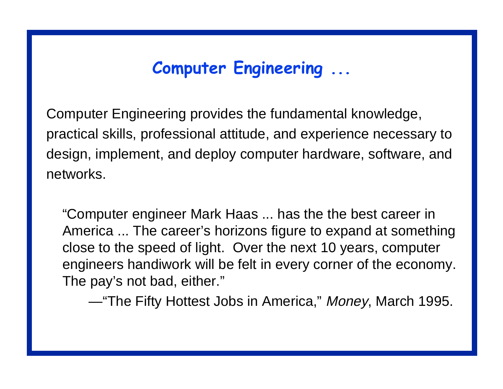## Computer Engineering ...

Computer Engineering provides the fundamental knowledge, practical skills, professional attitude, and experience necessary to design, implement, and deploy computer hardware, software, and networks.

"Computer engineer Mark Haas ... has the the best career in America ... The career's horizons figure to expand at something close to the speed of light. Over the next 10 years, computer engineers handiwork will be felt in every corner of the economy. The pay's not bad, either."

—"The Fifty Hottest Jobs in America," Money, March 1995.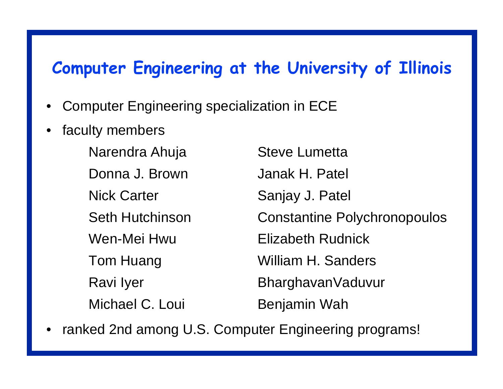#### Computer Engineering at the University of Illinois

- •Computer Engineering specialization in ECE
- •faculty members

Narendra Ahuja **Steve Lumetta** Donna J. Brown Janak H. Patel Nick Carter Sanjay J. Patel Wen-Mei Hwu Elizabeth RudnickMichael C. Loui Benjamin Wah

Seth Hutchinson Constantine Polychronopoulos Tom Huang William H. Sanders Ravi Iyer **BharghavanVaduvur** 

•ranked 2nd among U.S. Computer Engineering programs!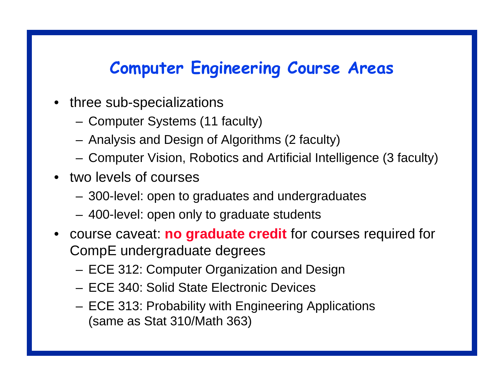## Computer Engineering Course Areas

- three sub-specializations
	- –Computer Systems (11 faculty)
	- –Analysis and Design of Algorithms (2 faculty)
	- –Computer Vision, Robotics and Artificial Intelligence (3 faculty)
- • two levels of courses
	- –300-level: open to graduates and undergraduates
	- –400-level: open only to graduate students
- • course caveat: **no graduate credit** for courses required for CompE undergraduate degrees
	- –ECE 312: Computer Organization and Design
	- ECE 340: Solid State Electronic Devices
	- – ECE 313: Probability with Engineering Applications (same as Stat 310/Math 363)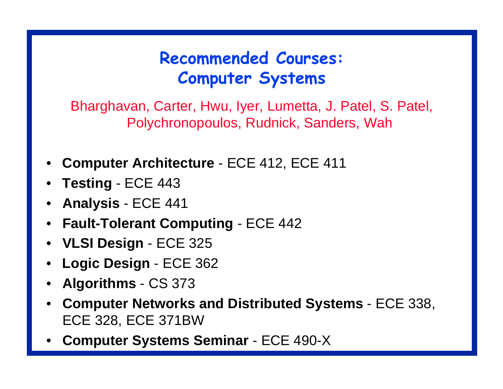# Recommended Courses: Computer Systems

Bharghavan, Carter, Hwu, Iyer, Lumetta, J. Patel, S. Patel, Polychronopoulos, Rudnick, Sanders, Wah

- •**Computer Architecture** - ECE 412, ECE 411
- •**Testin g** - ECE 443
- **Analysis** ECE 441
- **Fault-Tolerant Computin g** ECE 442
- **VLSI Desi gn**  ECE 325
- **Lo gic Desi gn**  ECE 362
- **Al gorithms** CS 373
- **Computer Networks and Distributed Systems**  ECE 338, ECE 328, ECE 371BW
- •**Computer Systems Seminar** - ECE 490-X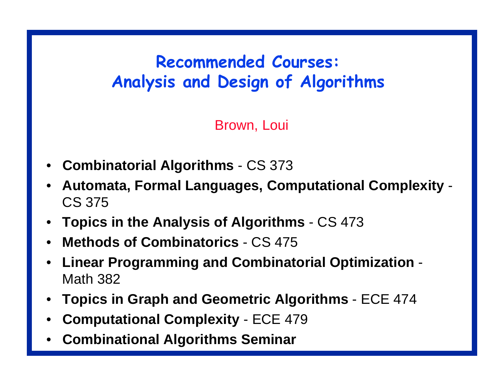# Recommended Courses: Analysis and Design of Algorithms

Brown, Loui

- •**Combinatorial Al gorithms** - CS 373
- • **Automata, Formal Lan gua ges, Computational Complexity**  - CS 375
- **Topics in the Analysis of Al gorithms**  CS 473
- **Methods of Combinatorics**  CS 475
- **Linear Pro grammin g and Combinatorial Optimization**  - Math 382
- **Topics in Graph and Geometric Al gorithms**  ECE 474
- •**Computational Complexity** - ECE 479
- •**Combinational Al gorithms Seminar**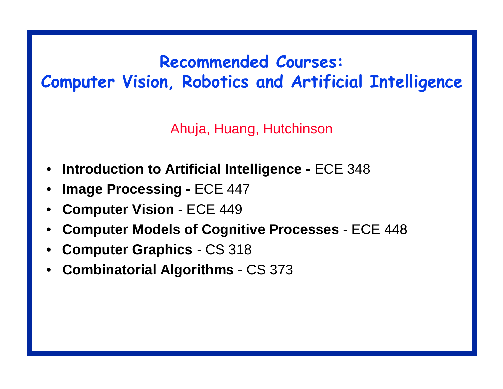### Recommended Courses: Computer Vision, Robotics and Artificial Intelligence

Ahuja, Huang, Hutchinson

- •**Introduction to Artificial Intelli gence -** ECE 348
- •**Ima ge Processin g -** ECE 447
- •**Computer Vision** - ECE 449
- •**Computer Models of Co gnitive Processes** - ECE 448
- •**Computer Graphics** - CS 318
- • **Combinatorial Al gorithms**  - CS 373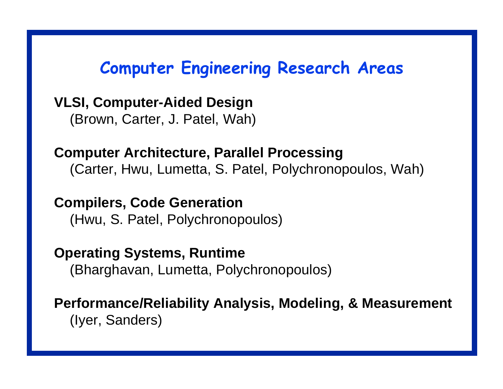### Computer Engineering Research Areas

**VLSI, Computer-Aided Desi g n** (Brown, Carter, J. Patel, Wah)

**Computer Architecture, Parallel Processin g** (Carter, Hwu, Lumetta, S. Patel, Polychronopoulos, Wah)

**Compilers, Code Generation** (Hwu, S. Patel, Polychronopoulos)

**Operatin g Systems, Runtime** (Bharghavan, Lumetta, Polychronopoulos)

**Performance/Reliability Analysis, Modelin g, & Measurement** (Iyer, Sanders)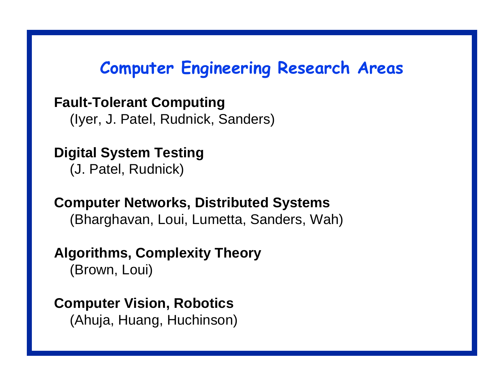#### Computer Engineering Research Areas

**Fault-Tolerant Computin g**

(Iyer, J. Patel, Rudnick, Sanders)

**Di gital System Testin g** (J. Patel, Rudnick)

**Computer Networks, Distributed Systems** (Bharghavan, Loui, Lumetta, Sanders, Wah)

**Al gorithms, Complexity Theory**

(Brown, Loui)

**Computer Vision, Robotics** (Ahuja, Huang, Huchinson)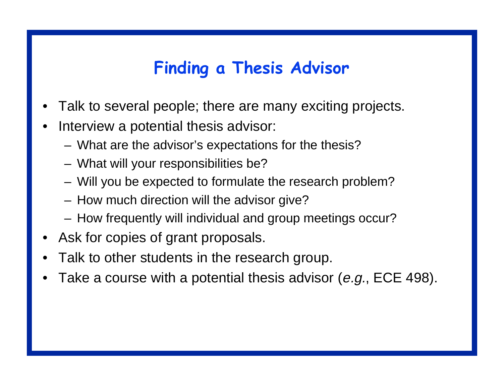## Finding a Thesis Advisor

- •Talk to several people; there are many exciting projects.
- • Interview a potential thesis advisor:
	- –What are the advisor's expectations for the thesis?
	- –What will your responsibilities be?
	- –Will you be expected to formulate the research problem?
	- –How much direction will the advisor give?
	- –How frequently will individual and group meetings occur?
- •Ask for copies of grant proposals.
- •Talk to other students in the research group.
- •Take a course with a potential thesis advisor (e.g., ECE 498).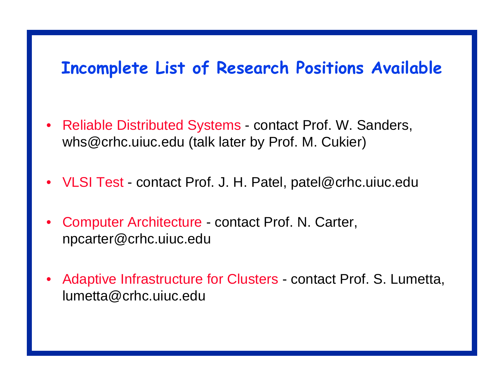#### Incomplete List of Research Positions Available

- Reliable Distributed Systems contact Prof. W. Sanders, whs@crhc.uiuc.edu (talk later by Prof. M. Cukier)
- VLSI Test contact Prof. J. H. Patel, patel@crhc.uiuc.edu
- • Computer Architecture - contact Prof. N. Carter, npcarter@crhc.uiuc.edu
- • Adaptive Infrastructure for Clusters - contact Prof. S. Lumetta, lumetta@crhc.uiuc.edu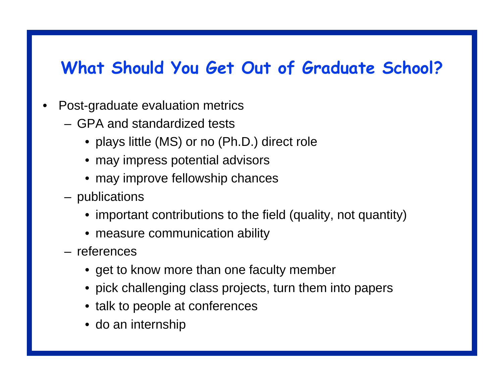#### What Should You Get Out of Graduate School?

- • Post-graduate evaluation metrics
	- GPA and standardized tests
		- plays little (MS) or no (Ph.D.) direct role
		- may impress potential advisors
		- may improve fellowship chances
	- – publications
		- important contributions to the field (quality, not quantity)
		- measure communication ability
	- references
		- get to know more than one faculty member
		- pick challenging class projects, turn them into papers
		- talk to people at conferences
		- do an internship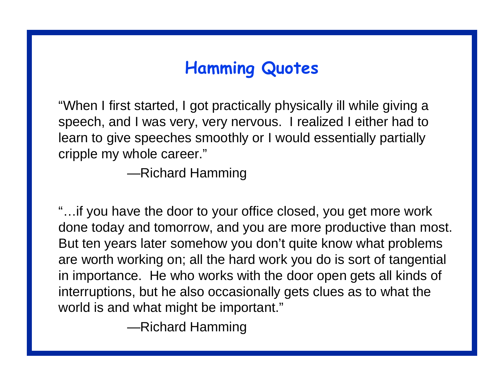# Hamming Quotes

"When I first started, I got practically physically ill while giving a speech, and I was very, very nervous. I realized I either had to learn to give speeches smoothly or I would essentially partially cripple my whole career."

—Richard Hamming

"…if you have the door to your office closed, you get more work done today and tomorrow, and you are more productive than most. But ten years later somehow you don't quite know what problems are worth working on; all the hard work you do is sort of tangential in importance. He who works with the door open gets all kinds of interruptions, but he also occasionally gets clues as to what the world is and what might be important."

—Richard Hamming